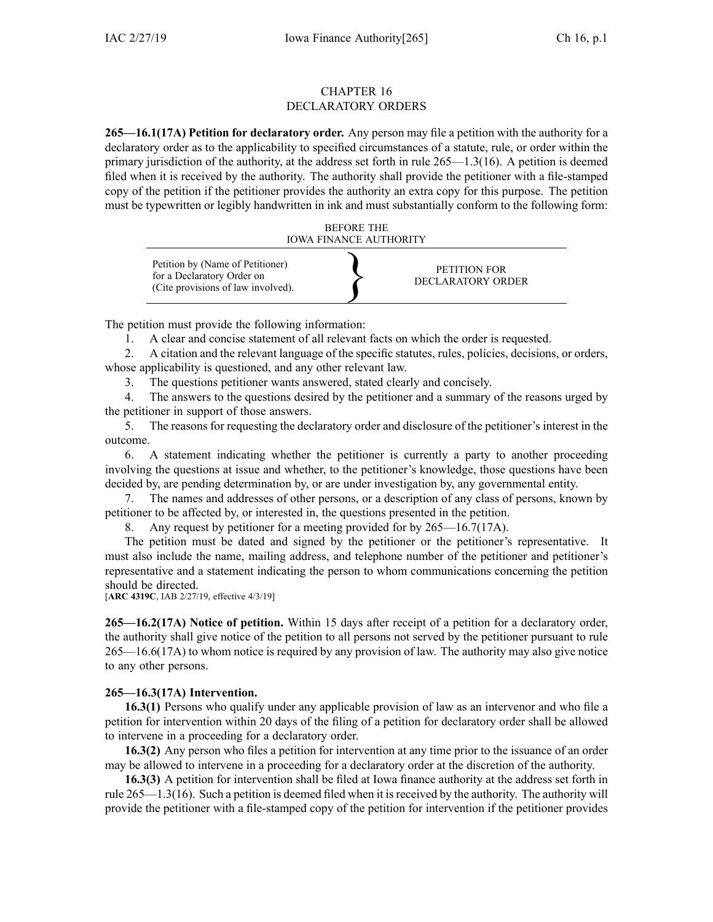#### CHAPTER 16 DECLARATORY ORDERS

**265—16.1(17A) Petition for declaratory order.** Any person may file <sup>a</sup> petition with the authority for <sup>a</sup> declaratory order as to the applicability to specified circumstances of <sup>a</sup> statute, rule, or order within the primary jurisdiction of the authority, at the address set forth in rule 265—1.3(16). A petition is deemed filed when it is received by the authority. The authority shall provide the petitioner with <sup>a</sup> file-stamped copy of the petition if the petitioner provides the authority an extra copy for this purpose. The petition must be typewritten or legibly handwritten in ink and must substantially conform to the following form:



The petition must provide the following information:

1. A clear and concise statement of all relevant facts on which the order is requested.

2. A citation and the relevant language of the specific statutes, rules, policies, decisions, or orders, whose applicability is questioned, and any other relevant law.

3. The questions petitioner wants answered, stated clearly and concisely.

4. The answers to the questions desired by the petitioner and <sup>a</sup> summary of the reasons urged by the petitioner in suppor<sup>t</sup> of those answers.

5. The reasons for requesting the declaratory order and disclosure of the petitioner's interest in the outcome.

6. A statement indicating whether the petitioner is currently <sup>a</sup> party to another proceeding involving the questions at issue and whether, to the petitioner's knowledge, those questions have been decided by, are pending determination by, or are under investigation by, any governmental entity.

7. The names and addresses of other persons, or <sup>a</sup> description of any class of persons, known by petitioner to be affected by, or interested in, the questions presented in the petition.

8. Any reques<sup>t</sup> by petitioner for <sup>a</sup> meeting provided for by 265—16.7(17A).

The petition must be dated and signed by the petitioner or the petitioner's representative. It must also include the name, mailing address, and telephone number of the petitioner and petitioner's representative and <sup>a</sup> statement indicating the person to whom communications concerning the petition should be directed.

[**ARC [4319C](https://www.legis.iowa.gov/docs/aco/arc/4319C.pdf)**, IAB 2/27/19, effective 4/3/19]

**265—16.2(17A) Notice of petition.** Within 15 days after receipt of <sup>a</sup> petition for <sup>a</sup> declaratory order, the authority shall give notice of the petition to all persons not served by the petitioner pursuan<sup>t</sup> to [rule](https://www.legis.iowa.gov/docs/iac/rule/265.16.6.pdf) [265—16.6\(17A\)](https://www.legis.iowa.gov/docs/iac/rule/265.16.6.pdf) to whom notice is required by any provision of law. The authority may also give notice to any other persons.

# **265—16.3(17A) Intervention.**

**16.3(1)** Persons who qualify under any applicable provision of law as an intervenor and who file <sup>a</sup> petition for intervention within 20 days of the filing of <sup>a</sup> petition for declaratory order shall be allowed to intervene in <sup>a</sup> proceeding for <sup>a</sup> declaratory order.

**16.3(2)** Any person who files <sup>a</sup> petition for intervention at any time prior to the issuance of an order may be allowed to intervene in <sup>a</sup> proceeding for <sup>a</sup> declaratory order at the discretion of the authority.

**16.3(3)** A petition for intervention shall be filed at Iowa finance authority at the address set forth in rule 265—1.3(16). Such <sup>a</sup> petition is deemed filed when it isreceived by the authority. The authority will provide the petitioner with <sup>a</sup> file-stamped copy of the petition for intervention if the petitioner provides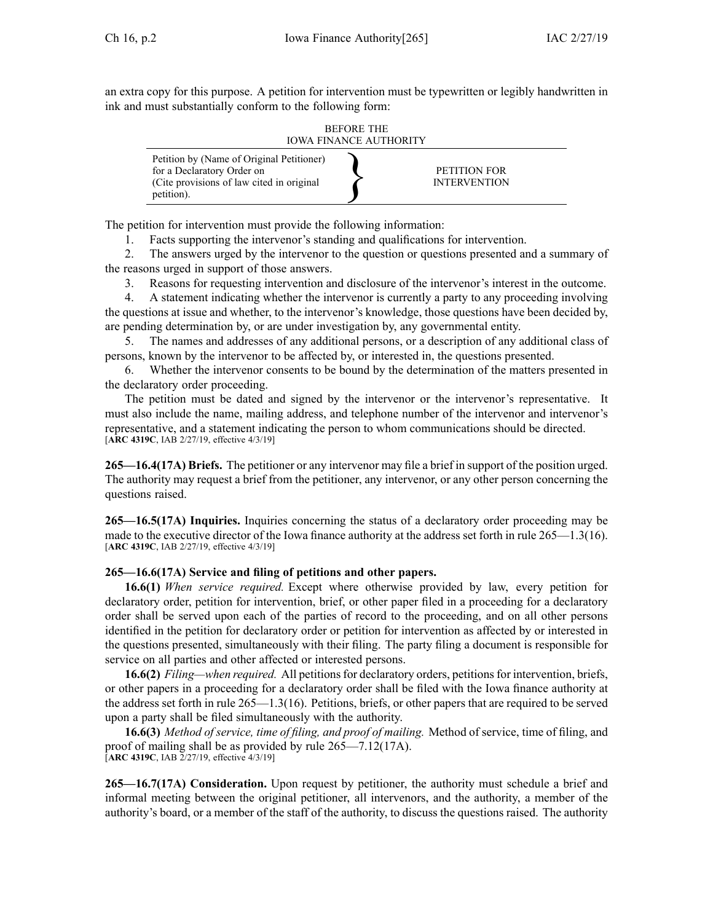an extra copy for this purpose. A petition for intervention must be typewritten or legibly handwritten in ink and must substantially conform to the following form:

BEFORE THE IOWA FINANCE AUTHORITY



The petition for intervention must provide the following information:

1. Facts supporting the intervenor's standing and qualifications for intervention.

2. The answers urged by the intervenor to the question or questions presented and <sup>a</sup> summary of the reasons urged in suppor<sup>t</sup> of those answers.

3. Reasons for requesting intervention and disclosure of the intervenor's interest in the outcome.

4. A statement indicating whether the intervenor is currently <sup>a</sup> party to any proceeding involving the questions at issue and whether, to the intervenor's knowledge, those questions have been decided by, are pending determination by, or are under investigation by, any governmental entity.

5. The names and addresses of any additional persons, or <sup>a</sup> description of any additional class of persons, known by the intervenor to be affected by, or interested in, the questions presented.

6. Whether the intervenor consents to be bound by the determination of the matters presented in the declaratory order proceeding.

The petition must be dated and signed by the intervenor or the intervenor's representative. It must also include the name, mailing address, and telephone number of the intervenor and intervenor's representative, and <sup>a</sup> statement indicating the person to whom communications should be directed. [**ARC [4319C](https://www.legis.iowa.gov/docs/aco/arc/4319C.pdf)**, IAB 2/27/19, effective 4/3/19]

**265—16.4(17A) Briefs.** The petitioner or any intervenor may file <sup>a</sup> brief in suppor<sup>t</sup> of the position urged. The authority may reques<sup>t</sup> <sup>a</sup> brief from the petitioner, any intervenor, or any other person concerning the questions raised.

**265—16.5(17A) Inquiries.** Inquiries concerning the status of <sup>a</sup> declaratory order proceeding may be made to the executive director of the Iowa finance authority at the address set forth in rule 265—1.3(16). [**ARC [4319C](https://www.legis.iowa.gov/docs/aco/arc/4319C.pdf)**, IAB 2/27/19, effective 4/3/19]

#### **265—16.6(17A) Service and filing of petitions and other papers.**

**16.6(1)** *When service required.* Except where otherwise provided by law, every petition for declaratory order, petition for intervention, brief, or other paper filed in <sup>a</sup> proceeding for <sup>a</sup> declaratory order shall be served upon each of the parties of record to the proceeding, and on all other persons identified in the petition for declaratory order or petition for intervention as affected by or interested in the questions presented, simultaneously with their filing. The party filing <sup>a</sup> document is responsible for service on all parties and other affected or interested persons.

**16.6(2)** *Filing—when required.* All petitionsfor declaratory orders, petitionsfor intervention, briefs, or other papers in <sup>a</sup> proceeding for <sup>a</sup> declaratory order shall be filed with the Iowa finance authority at the address set forth in rule 265—1.3(16). Petitions, briefs, or other papers that are required to be served upon <sup>a</sup> party shall be filed simultaneously with the authority.

**16.6(3)** *Method of service, time of filing, and proof of mailing.* Method of service, time of filing, and proof of mailing shall be as provided by rule [265—7.12\(17A\)](https://www.legis.iowa.gov/docs/iac/rule/265.7.12.pdf). [**ARC [4319C](https://www.legis.iowa.gov/docs/aco/arc/4319C.pdf)**, IAB 2/27/19, effective 4/3/19]

**265—16.7(17A) Consideration.** Upon reques<sup>t</sup> by petitioner, the authority must schedule <sup>a</sup> brief and informal meeting between the original petitioner, all intervenors, and the authority, <sup>a</sup> member of the authority's board, or <sup>a</sup> member of the staff of the authority, to discuss the questions raised. The authority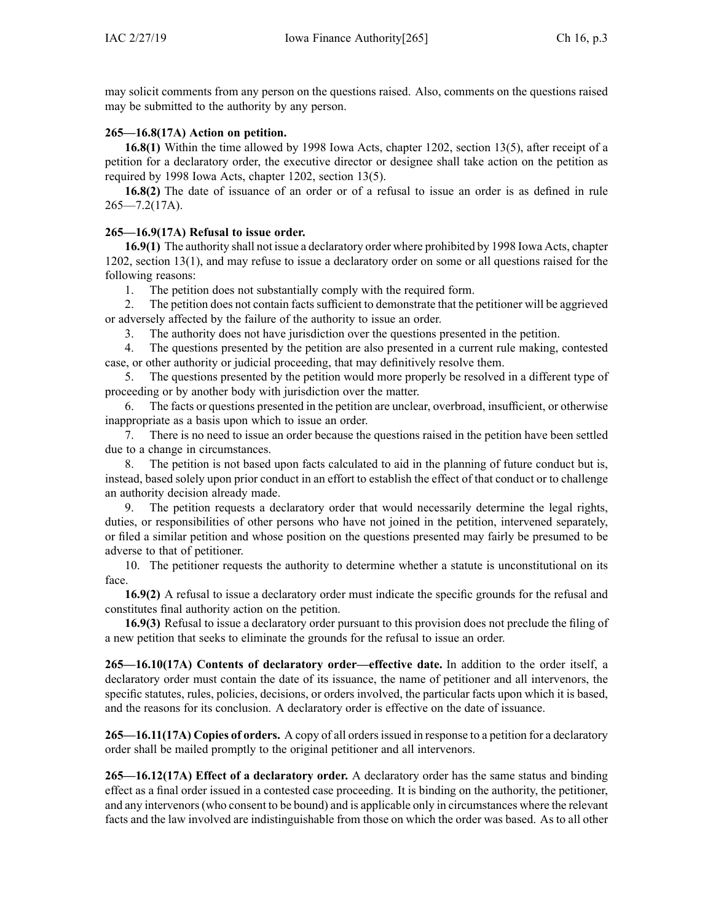may solicit comments from any person on the questions raised. Also, comments on the questions raised may be submitted to the authority by any person.

## **265—16.8(17A) Action on petition.**

**16.8(1)** Within the time allowed by 1998 Iowa Acts, chapter 1202, section 13(5), after receipt of <sup>a</sup> petition for <sup>a</sup> declaratory order, the executive director or designee shall take action on the petition as required by 1998 Iowa Acts, chapter 1202, section 13(5).

**16.8(2)** The date of issuance of an order or of <sup>a</sup> refusal to issue an order is as defined in [rule](https://www.legis.iowa.gov/docs/iac/rule/265.7.2.pdf)  $265 - 7.2(17A)$ .

## **265—16.9(17A) Refusal to issue order.**

**16.9(1)** The authority shall not issue <sup>a</sup> declaratory order where prohibited by 1998 Iowa Acts, chapter 1202, section 13(1), and may refuse to issue <sup>a</sup> declaratory order on some or all questions raised for the following reasons:

1. The petition does not substantially comply with the required form.

2. The petition does not contain facts sufficient to demonstrate that the petitioner will be aggrieved or adversely affected by the failure of the authority to issue an order.

3. The authority does not have jurisdiction over the questions presented in the petition.

4. The questions presented by the petition are also presented in <sup>a</sup> current rule making, contested case, or other authority or judicial proceeding, that may definitively resolve them.

5. The questions presented by the petition would more properly be resolved in <sup>a</sup> different type of proceeding or by another body with jurisdiction over the matter.

6. The facts or questions presented in the petition are unclear, overbroad, insufficient, or otherwise inappropriate as <sup>a</sup> basis upon which to issue an order.

7. There is no need to issue an order because the questions raised in the petition have been settled due to <sup>a</sup> change in circumstances.

8. The petition is not based upon facts calculated to aid in the planning of future conduct but is, instead, based solely upon prior conduct in an effort to establish the effect of that conduct or to challenge an authority decision already made.

9. The petition requests <sup>a</sup> declaratory order that would necessarily determine the legal rights, duties, or responsibilities of other persons who have not joined in the petition, intervened separately, or filed <sup>a</sup> similar petition and whose position on the questions presented may fairly be presumed to be adverse to that of petitioner.

10. The petitioner requests the authority to determine whether <sup>a</sup> statute is unconstitutional on its face.

**16.9(2)** A refusal to issue <sup>a</sup> declaratory order must indicate the specific grounds for the refusal and constitutes final authority action on the petition.

**16.9(3)** Refusal to issue <sup>a</sup> declaratory order pursuan<sup>t</sup> to this provision does not preclude the filing of <sup>a</sup> new petition that seeks to eliminate the grounds for the refusal to issue an order.

**265—16.10(17A) Contents of declaratory order—effective date.** In addition to the order itself, <sup>a</sup> declaratory order must contain the date of its issuance, the name of petitioner and all intervenors, the specific statutes, rules, policies, decisions, or orders involved, the particular facts upon which it is based, and the reasons for its conclusion. A declaratory order is effective on the date of issuance.

**265—16.11(17A) Copies of orders.** A copy of all ordersissued in response to <sup>a</sup> petition for <sup>a</sup> declaratory order shall be mailed promptly to the original petitioner and all intervenors.

**265—16.12(17A) Effect of <sup>a</sup> declaratory order.** A declaratory order has the same status and binding effect as <sup>a</sup> final order issued in <sup>a</sup> contested case proceeding. It is binding on the authority, the petitioner, and any intervenors(who consent to be bound) and is applicable only in circumstances where the relevant facts and the law involved are indistinguishable from those on which the order was based. As to all other